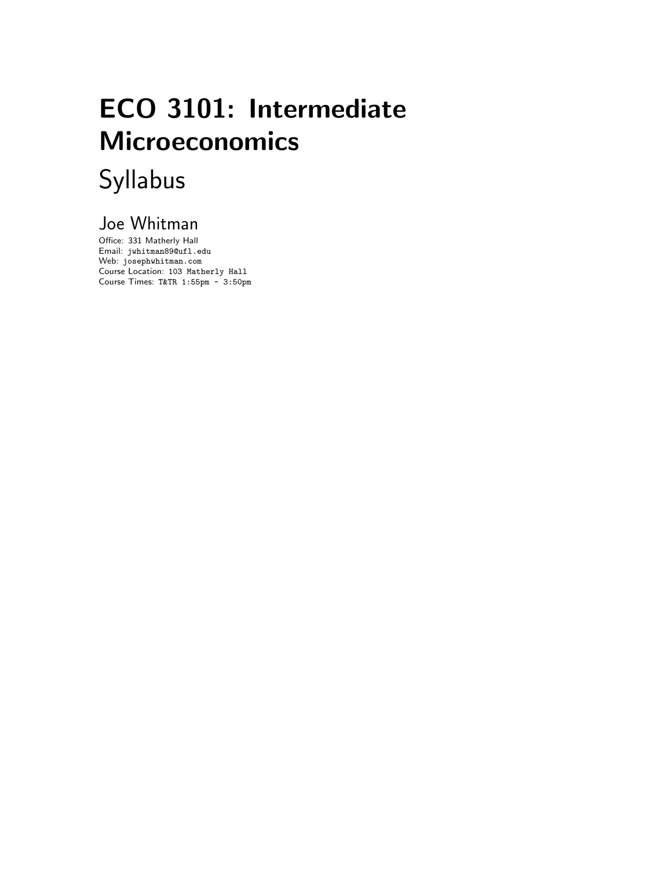# ECO 3101: Intermediate Microeconomics Syllabus

# Joe Whitman

Office: 331 Matherly Hall Email: jwhitman89@ufl.edu Web: josephwhitman.com Course Location: 103 Matherly Hall Course Times: T&TR 1:55pm - 3:50pm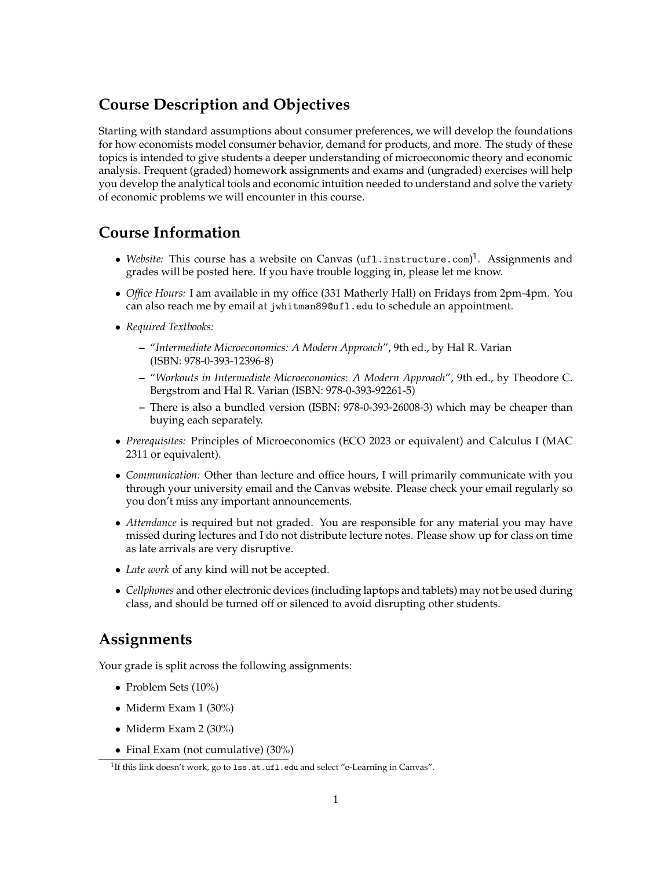## **Course Description and Objectives**

Starting with standard assumptions about consumer preferences, we will develop the foundations for how economists model consumer behavior, demand for products, and more. The study of these topics is intended to give students a deeper understanding of microeconomic theory and economic analysis. Frequent (graded) homework assignments and exams and (ungraded) exercises will help you develop the analytical tools and economic intuition needed to understand and solve the variety of economic problems we will encounter in this course.

#### **Course Information**

- *Website:* This course has a website on Canvas (<ufl.instructure.com>)<sup>1</sup>. Assignments and grades will be posted here. If you have trouble logging in, please let me know.
- *• Office Hours:* I am available in my office (331 Matherly Hall) on Fridays from 2pm-4pm. You can also reach me by email at jwhitman89@ufl.edu to schedule an appointment.
- *• Required Textbooks:*
	- **–** "*Intermediate Microeconomics: A Modern Approach*", 9th ed., by Hal R. Varian (ISBN: 978-0-393-12396-8)
	- **–** "*Workouts in Intermediate Microeconomics: A Modern Approach*", 9th ed., by Theodore C. Bergstrom and Hal R. Varian (ISBN: 978-0-393-92261-5)
	- **–** There is also a bundled version (ISBN: 978-0-393-26008-3) which may be cheaper than buying each separately.
- *• Prerequisites:* Principles of Microeconomics (ECO 2023 or equivalent) and Calculus I (MAC 2311 or equivalent).
- *• Communication:* Other than lecture and office hours, I will primarily communicate with you through your university email and the Canvas website. Please check your email regularly so you don't miss any important announcements.
- *Attendance* is required but not graded. You are responsible for any material you may have missed during lectures and I do not distribute lecture notes. Please show up for class on time as late arrivals are very disruptive.
- *• Late work* of any kind will not be accepted.
- *• Cellphones* and other electronic devices (including laptops and tablets) may not be used during class, and should be turned off or silenced to avoid disrupting other students.

#### **Assignments**

Your grade is split across the following assignments:

- *•* Problem Sets (10%)
- *•* Miderm Exam 1 (30%)
- *•* Miderm Exam 2 (30%)
- Final Exam (not cumulative) (30%)

<span id="page-1-0"></span><sup>&</sup>lt;sup>1</sup>If this link doesn't work, go to 1ss.at.ufl.edu and select "e-Learning in Canvas".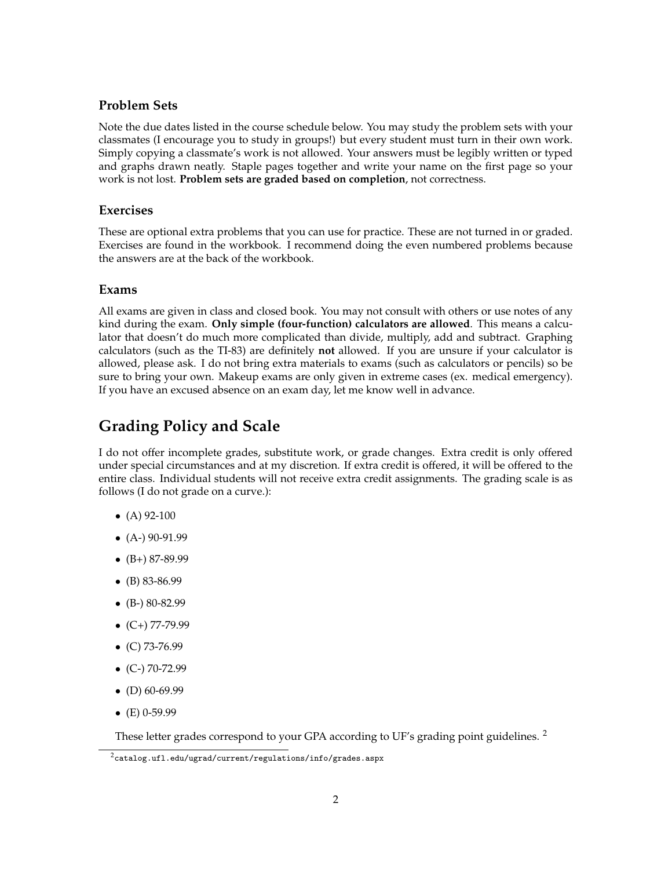#### **Problem Sets**

Note the due dates listed in the course schedule below. You may study the problem sets with your classmates (I encourage you to study in groups!) but every student must turn in their own work. Simply copying a classmate's work is not allowed. Your answers must be legibly written or typed and graphs drawn neatly. Staple pages together and write your name on the first page so your work is not lost. **Problem sets are graded based on completion**, not correctness.

#### **Exercises**

These are optional extra problems that you can use for practice. These are not turned in or graded. Exercises are found in the workbook. I recommend doing the even numbered problems because the answers are at the back of the workbook.

#### **Exams**

All exams are given in class and closed book. You may not consult with others or use notes of any kind during the exam. **Only simple (four-function) calculators are allowed**. This means a calculator that doesn't do much more complicated than divide, multiply, add and subtract. Graphing calculators (such as the TI-83) are definitely **not** allowed. If you are unsure if your calculator is allowed, please ask. I do not bring extra materials to exams (such as calculators or pencils) so be sure to bring your own. Makeup exams are only given in extreme cases (ex. medical emergency). If you have an excused absence on an exam day, let me know well in advance.

## **Grading Policy and Scale**

I do not offer incomplete grades, substitute work, or grade changes. Extra credit is only offered under special circumstances and at my discretion. If extra credit is offered, it will be offered to the entire class. Individual students will not receive extra credit assignments. The grading scale is as follows (I do not grade on a curve.):

- *•* (A) 92-100
- *•* (A-) 90-91.99
- *•* (B+) 87-89.99
- *•* (B) 83-86.99
- *•* (B-) 80-82.99
- *•* (C+) 77-79.99
- *•* (C) 73-76.99
- *•* (C-) 70-72.99
- *•* (D) 60-69.99
- *•* (E) 0-59.99

These letter grades correspond to your GPA according to UF's grading point guidelines.<sup>[2](#page-2-0)</sup>

<span id="page-2-0"></span> $2$ <catalog.ufl.edu/ugrad/current/regulations/info/grades.aspx>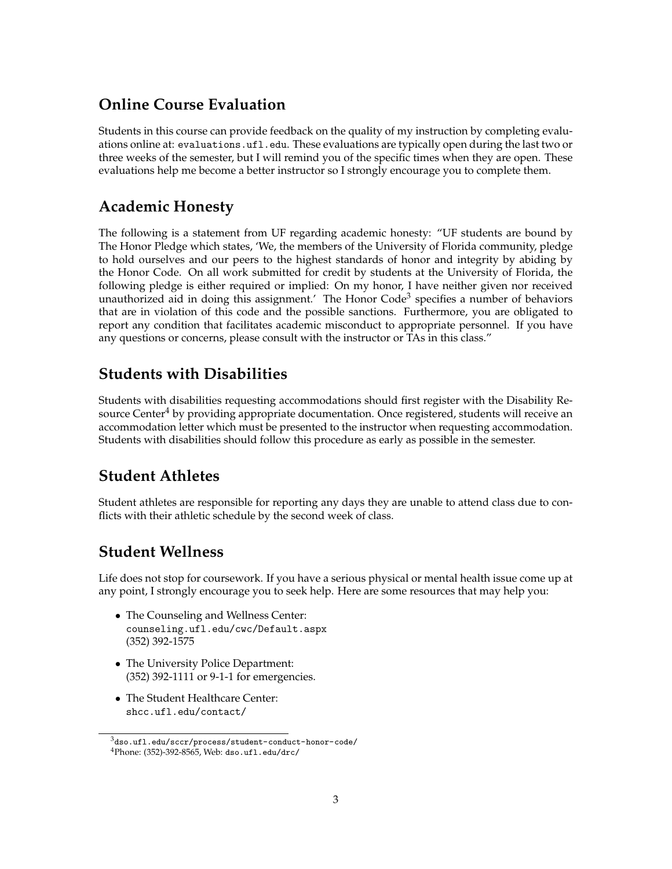## **Online Course Evaluation**

Students in this course can provide feedback on the quality of my instruction by completing evaluations online at: <evaluations.ufl.edu>. These evaluations are typically open during the last two or three weeks of the semester, but I will remind you of the specific times when they are open. These evaluations help me become a better instructor so I strongly encourage you to complete them.

#### **Academic Honesty**

The following is a statement from UF regarding academic honesty: "UF students are bound by The Honor Pledge which states, 'We, the members of the University of Florida community, pledge to hold ourselves and our peers to the highest standards of honor and integrity by abiding by the Honor Code. On all work submitted for credit by students at the University of Florida, the following pledge is either required or implied: On my honor, I have neither given nor received unauthorized aid in doing this assignment.' The Honor Code<sup>3</sup> specifies a number of behaviors that are in violation of this code and the possible sanctions. Furthermore, you are obligated to report any condition that facilitates academic misconduct to appropriate personnel. If you have any questions or concerns, please consult with the instructor or TAs in this class."

#### **Students with Disabilities**

Students with disabilities requesting accommodations should first register with the Disability Resource Center<sup>4</sup> by providing appropriate documentation. Once registered, students will receive an accommodation letter which must be presented to the instructor when requesting accommodation. Students with disabilities should follow this procedure as early as possible in the semester.

# **Student Athletes**

Student athletes are responsible for reporting any days they are unable to attend class due to conflicts with their athletic schedule by the second week of class.

#### **Student Wellness**

Life does not stop for coursework. If you have a serious physical or mental health issue come up at any point, I strongly encourage you to seek help. Here are some resources that may help you:

- *•* The Counseling and Wellness Center: <counseling.ufl.edu/cwc/Default.aspx> (352) 392-1575
- *•* The University Police Department: (352) 392-1111 or 9-1-1 for emergencies.
- *•* The Student Healthcare Center: <shcc.ufl.edu/contact/>

<span id="page-3-1"></span><span id="page-3-0"></span><sup>3</sup><dso.ufl.edu/sccr/process/student-conduct-honor-code/> 4Phone: (352)-392-8565, Web: <dso.ufl.edu/drc/>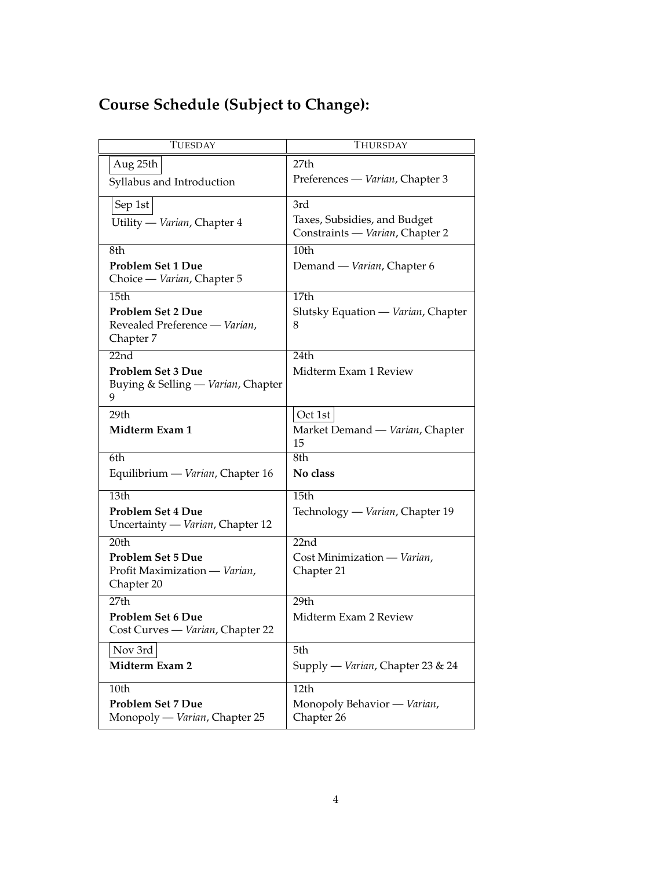# **Course Schedule (Subject to Change):**

| <b>TUESDAY</b>                                                          | THURSDAY                                                        |
|-------------------------------------------------------------------------|-----------------------------------------------------------------|
| Aug 25th                                                                | 27th                                                            |
| Syllabus and Introduction                                               | Preferences — Varian, Chapter 3                                 |
| Sep 1st                                                                 | 3rd                                                             |
| Utility — Varian, Chapter 4                                             | Taxes, Subsidies, and Budget<br>Constraints - Varian, Chapter 2 |
| 8th                                                                     | 10th                                                            |
| <b>Problem Set 1 Due</b><br>Choice - Varian, Chapter 5                  | Demand — Varian, Chapter 6                                      |
| 15th                                                                    | 17th                                                            |
| <b>Problem Set 2 Due</b><br>Revealed Preference - Varian,<br>Chapter 7  | Slutsky Equation — Varian, Chapter<br>8                         |
| 22nd                                                                    | 24th                                                            |
| <b>Problem Set 3 Due</b><br>Buying & Selling — Varian, Chapter<br>9     | Midterm Exam 1 Review                                           |
| 29th                                                                    | Oct 1st                                                         |
| Midterm Exam 1                                                          | Market Demand — Varian, Chapter<br>15                           |
| 6th                                                                     | 8th                                                             |
| Equilibrium — Varian, Chapter 16                                        | No class                                                        |
| 13th                                                                    | 15th                                                            |
| Problem Set 4 Due<br>Uncertainty — Varian, Chapter 12                   | Technology — Varian, Chapter 19                                 |
| 20th                                                                    | 22nd                                                            |
| <b>Problem Set 5 Due</b><br>Profit Maximization - Varian,<br>Chapter 20 | Cost Minimization - Varian,<br>Chapter 21                       |
| 27th                                                                    | 29th                                                            |
| <b>Problem Set 6 Due</b><br>Cost Curves - Varian, Chapter 22            | Midterm Exam 2 Review                                           |
| Nov 3rd                                                                 | 5th                                                             |
| Midterm Exam 2                                                          | Supply — Varian, Chapter 23 & 24                                |
| 10th                                                                    | 12th                                                            |
| <b>Problem Set 7 Due</b><br>Monopoly — Varian, Chapter 25               | Monopoly Behavior - Varian,<br>Chapter 26                       |